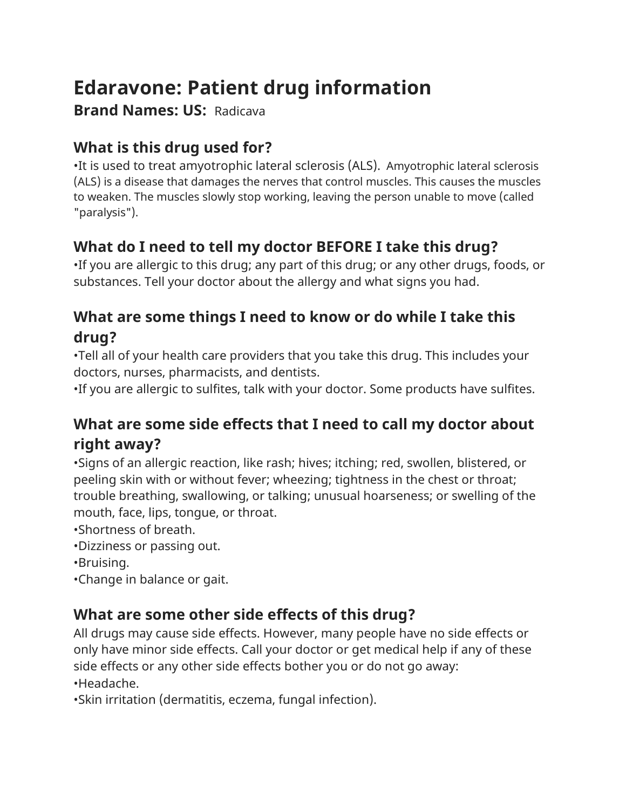# **Edaravone: Patient drug information**

#### **Brand Names: US:** Radicava

## **What is this drug used for?**

•It is used to treat amyotrophic lateral sclerosis (ALS). Amyotrophic lateral sclerosis (ALS) is a disease that damages the nerves that control muscles. This causes the muscles to weaken. The muscles slowly stop working, leaving the person unable to move (called "paralysis").

# **What do I need to tell my doctor BEFORE I take this drug?**

•If you are allergic to this drug; any part of this drug; or any other drugs, foods, or substances. Tell your doctor about the allergy and what signs you had.

### **What are some things I need to know or do while I take this drug?**

•Tell all of your health care providers that you take this drug. This includes your doctors, nurses, pharmacists, and dentists.

•If you are allergic to sulfites, talk with your doctor. Some products have sulfites.

## **What are some side effects that I need to call my doctor about right away?**

•Signs of an allergic reaction, like rash; hives; itching; red, swollen, blistered, or peeling skin with or without fever; wheezing; tightness in the chest or throat; trouble breathing, swallowing, or talking; unusual hoarseness; or swelling of the mouth, face, lips, tongue, or throat.

•Shortness of breath.

- •Dizziness or passing out.
- •Bruising.
- •Change in balance or gait.

### **What are some other side effects of this drug?**

All drugs may cause side effects. However, many people have no side effects or only have minor side effects. Call your doctor or get medical help if any of these side effects or any other side effects bother you or do not go away:

•Headache.

•Skin irritation (dermatitis, eczema, fungal infection).